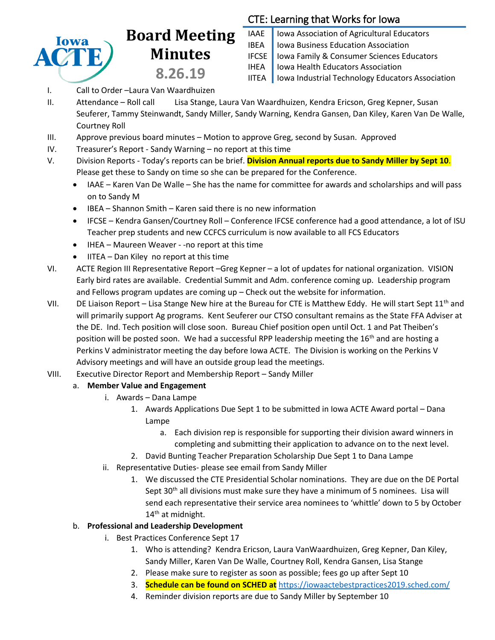

## **Board Meeting Minutes 8.26.19**

## CTE: Learning that Works for Iowa

- IAAE | Iowa Association of Agricultural Educators IBEA | Iowa Business Education Association IFCSE Iowa Family & Consumer Sciences Educators IHEA | Iowa Health Educators Association IITEA | Iowa Industrial Technology Educators Association
- I. Call to Order –Laura Van Waardhuizen
- II. Attendance Roll call Lisa Stange, Laura Van Waardhuizen, Kendra Ericson, Greg Kepner, Susan Seuferer, Tammy Steinwandt, Sandy Miller, Sandy Warning, Kendra Gansen, Dan Kiley, Karen Van De Walle, Courtney Roll
- III. Approve previous board minutes Motion to approve Greg, second by Susan. Approved
- IV. Treasurer's Report Sandy Warning no report at this time
- V. Division Reports Today's reports can be brief. **Division Annual reports due to Sandy Miller by Sept 10**. Please get these to Sandy on time so she can be prepared for the Conference.
	- IAAE Karen Van De Walle She has the name for committee for awards and scholarships and will pass on to Sandy M
	- IBEA Shannon Smith Karen said there is no new information
	- IFCSE Kendra Gansen/Courtney Roll Conference IFCSE conference had a good attendance, a lot of ISU Teacher prep students and new CCFCS curriculum is now available to all FCS Educators
	- IHEA Maureen Weaver -no report at this time
	- IITEA Dan Kiley no report at this time
- VI. ACTE Region III Representative Report –Greg Kepner a lot of updates for national organization. VISION Early bird rates are available. Credential Summit and Adm. conference coming up. Leadership program and Fellows program updates are coming up – Check out the website for information.
- VII. DE Liaison Report Lisa Stange New hire at the Bureau for CTE is Matthew Eddy. He will start Sept 11<sup>th</sup> and will primarily support Ag programs. Kent Seuferer our CTSO consultant remains as the State FFA Adviser at the DE. Ind. Tech position will close soon. Bureau Chief position open until Oct. 1 and Pat Theiben's position will be posted soon. We had a successful RPP leadership meeting the 16<sup>th</sup> and are hosting a Perkins V administrator meeting the day before Iowa ACTE. The Division is working on the Perkins V Advisory meetings and will have an outside group lead the meetings.
- VIII. Executive Director Report and Membership Report Sandy Miller
	- a. **Member Value and Engagement**
		- i. Awards Dana Lampe
			- 1. Awards Applications Due Sept 1 to be submitted in Iowa ACTE Award portal Dana Lampe
				- a. Each division rep is responsible for supporting their division award winners in completing and submitting their application to advance on to the next level.
			- 2. David Bunting Teacher Preparation Scholarship Due Sept 1 to Dana Lampe
		- ii. Representative Duties- please see email from Sandy Miller
			- 1. We discussed the CTE Presidential Scholar nominations. They are due on the DE Portal Sept  $30<sup>th</sup>$  all divisions must make sure they have a minimum of 5 nominees. Lisa will send each representative their service area nominees to 'whittle' down to 5 by October 14<sup>th</sup> at midnight.

## b. **Professional and Leadership Development**

- i. Best Practices Conference Sept 17
	- 1. Who is attending? Kendra Ericson, Laura VanWaardhuizen, Greg Kepner, Dan Kiley, Sandy Miller, Karen Van De Walle, Courtney Roll, Kendra Gansen, Lisa Stange
	- 2. Please make sure to register as soon as possible; fees go up after Sept 10
	- 3. **Schedule can be found on SCHED at** <https://iowaactebestpractices2019.sched.com/>
	- 4. Reminder division reports are due to Sandy Miller by September 10